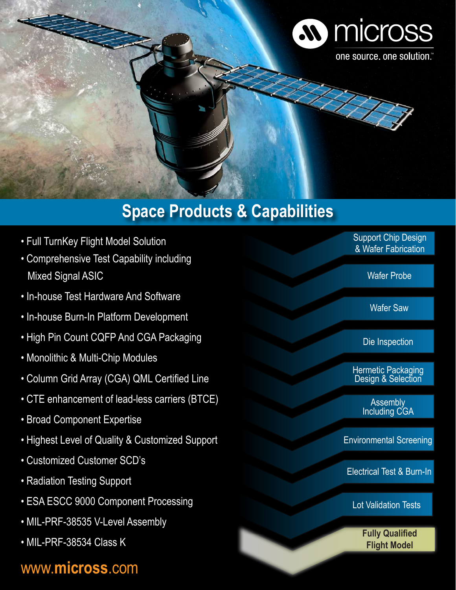

# **Space Products & Capabilities**

- Full TurnKey Flight Model Solution
- Comprehensive Test Capability including Mixed Signal ASIC
- In-house Test Hardware And Software
- In-house Burn-In Platform Development
- High Pin Count CQFP And CGA Packaging
- Monolithic & Multi-Chip Modules
- Column Grid Array (CGA) QML Certified Line
- CTE enhancement of lead-less carriers (BTCE)
- Broad Component Expertise
- Highest Level of Quality & Customized Support
- Customized Customer SCD's
- Radiation Testing Support
- ESA ESCC 9000 Component Processing
- MIL-PRF-38535 V-Level Assembly
- MIL-PRF-38534 Class K

## www.**micross**.com

Support Chip Design & Wafer Fabrication

Wafer Probe

Wafer Saw

Die Inspection

Hermetic Packaging Design & Selection

> **Assembly** Including CGA

Environmental Screening

Electrical Test & Burn-In

Lot Validation Tests

**Fully Qualified Flight Model**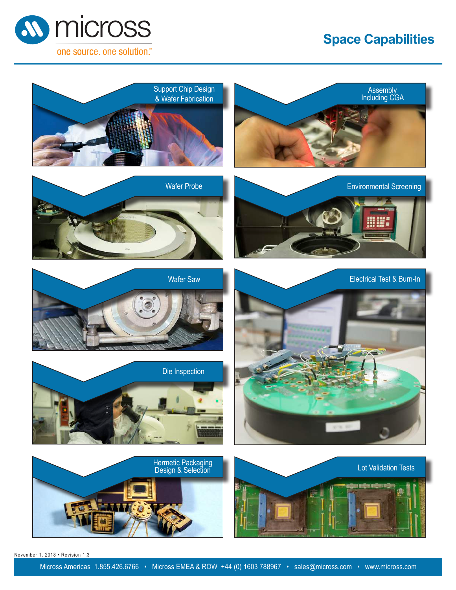### **Space Capabilities**





November 1, 2018 • Revision 1.3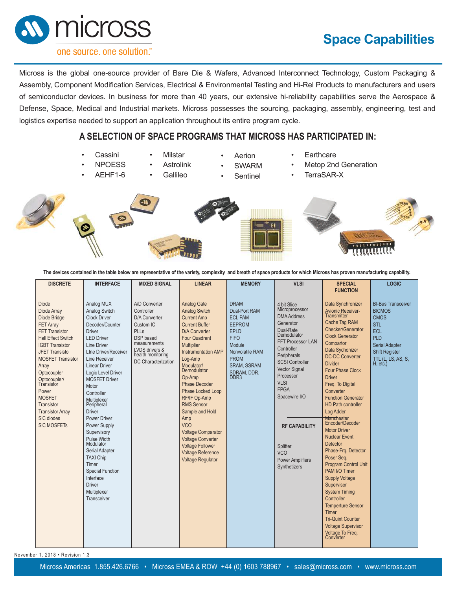### **Space Capabilities**



#### one source, one solution.

Micross is the global one-source provider of Bare Die & Wafers, Advanced Interconnect Technology, Custom Packaging & Assembly, Component Modification Services, Electrical & Environmental Testing and Hi-Rel Products to manufacturers and users of semiconductor devices. In business for more than 40 years, our extensive hi-reliability capabilities serve the Aerospace & Defense, Space, Medical and Industrial markets. Micross possesses the sourcing, packaging, assembly, engineering, test and logistics expertise needed to support an application throughout its entire program cycle.

### **A SELECTION OF SPACE PROGRAMS THAT MICROSS HAS PARTICIPATED IN:**

- **Cassini**
- **NPOESS**
- AEHF1-6
- **Astrolink** 
	- **Gallileo**

• Milstar

- **Aerion**
- **SWARM**
- **Sentinel**
- **Earthcare**
- Metop 2nd Generation
- TerraSAR-X









**The devices contained in the table below are representative of the variety, complexity and breath of space products for which Micross has proven manufacturing capability.**

| <b>DISCRETE</b>                                                                                                                                                                                                                                                                                                                                                   | <b>INTERFACE</b>                                                                                                                                                                                                                                                                                                                                                                                                                                                                                                                | <b>MIXED SIGNAL</b>                                                                                                                                                 | <b>LINEAR</b>                                                                                                                                                                                                                                                                                                                                                                                                                                                                                          | <b>MEMORY</b>                                                                                                                                                                                      | <b>VLSI</b>                                                                                                                                                                                                                                                                                                                                               | <b>SPECIAL</b><br><b>FUNCTION</b>                                                                                                                                                                                                                                                                                                                                                                                                                                                                                                                                                                                                                                                                                                                                       | <b>LOGIC</b>                                                                                                                                                                    |
|-------------------------------------------------------------------------------------------------------------------------------------------------------------------------------------------------------------------------------------------------------------------------------------------------------------------------------------------------------------------|---------------------------------------------------------------------------------------------------------------------------------------------------------------------------------------------------------------------------------------------------------------------------------------------------------------------------------------------------------------------------------------------------------------------------------------------------------------------------------------------------------------------------------|---------------------------------------------------------------------------------------------------------------------------------------------------------------------|--------------------------------------------------------------------------------------------------------------------------------------------------------------------------------------------------------------------------------------------------------------------------------------------------------------------------------------------------------------------------------------------------------------------------------------------------------------------------------------------------------|----------------------------------------------------------------------------------------------------------------------------------------------------------------------------------------------------|-----------------------------------------------------------------------------------------------------------------------------------------------------------------------------------------------------------------------------------------------------------------------------------------------------------------------------------------------------------|-------------------------------------------------------------------------------------------------------------------------------------------------------------------------------------------------------------------------------------------------------------------------------------------------------------------------------------------------------------------------------------------------------------------------------------------------------------------------------------------------------------------------------------------------------------------------------------------------------------------------------------------------------------------------------------------------------------------------------------------------------------------------|---------------------------------------------------------------------------------------------------------------------------------------------------------------------------------|
| <b>Diode</b><br>Diode Array<br>Diode Bridge<br><b>FET Array</b><br><b>FET Transistor</b><br><b>Hall Effect Switch</b><br><b>IGBT Transistor</b><br><b>JFET Transisto</b><br><b>MOSFET Transistor</b><br>Array<br>Optocoupler<br>Optocoupler/<br>Transistor<br>Power<br><b>MOSFET</b><br>Transistor<br><b>Transistor Arrav</b><br>SiC diodes<br><b>SiC MOSFETs</b> | Analog MUX<br>Analog Switch<br><b>Clock Driver</b><br>Decoder/Counter<br><b>Driver</b><br><b>LED Driver</b><br>Line Driver<br>Line Driver/Receiver<br>Line Receiver<br><b>Linear Driver</b><br>Logic Level Driver<br><b>MOSFET Driver</b><br>Motor<br>Controller<br>Multiplexer<br>Peripheral<br><b>Driver</b><br>Power Driver<br>Power Supply<br>Supervisory<br>Pulse Width<br>Modulator<br>Serial Adapter<br><b>TAXI Chip</b><br>Timer<br><b>Special Function</b><br>Interface<br><b>Driver</b><br>Multiplexer<br>Transceiver | A/D Converter<br>Controller<br>D/A Converter<br>Custom IC<br><b>PLLs</b><br>DSP based<br>measurements<br>LVDS drivers &<br>health monitoring<br>DC Characterization | Analog Gate<br><b>Analog Switch</b><br><b>Current Amp</b><br><b>Current Buffer</b><br><b>D/A Converter</b><br>Four Quadrant<br>Multiplier<br><b>Instrumentation AMP</b><br>Log-Amp<br>Modulator/<br>Demodulator<br>Op-Amp<br><b>Phase Decoder</b><br><b>Phase Locked Loop</b><br>RF/IF Op-Amp<br><b>RMS Sensor</b><br>Sample and Hold<br>Amp<br><b>VCO</b><br><b>Voltage Comparator</b><br><b>Voltage Converter</b><br><b>Voltage Follower</b><br><b>Voltage Reference</b><br><b>Voltage Regulator</b> | <b>DRAM</b><br>Dual-Port RAM<br><b>ECL PAM</b><br><b>EEPROM</b><br><b>EPLD</b><br><b>FIFO</b><br>Module<br>Nonvolatile RAM<br><b>PROM</b><br><b>SRAM, SSRAM</b><br>SDRAM, DDR,<br>DDR <sub>3</sub> | 4 bit Slice<br>Microprocessor<br><b>DMA Address</b><br>Generator<br>Dual-Rate<br>Demodulator<br>FFT Processor LAN<br>Controller<br>Peripherals<br><b>SCSI Controller</b><br><b>Vector Signal</b><br>Processor<br><b>VLSI</b><br><b>FPGA</b><br>Spacewire I/O<br><b>RF CAPABILITY</b><br>Splitter<br><b>VCO</b><br><b>Power Amplifiers</b><br>Synthetizers | Data Synchronizer<br><b>Avionic Receiver-</b><br><b>Transmitter</b><br>Cache Tag RAM<br>Checker/Generator<br><b>Clock Generator</b><br>Compartor<br>Data Sychonizer<br><b>DC-DC Converter</b><br><b>Divider</b><br><b>Four Phase Clock</b><br><b>Driver</b><br>Freq. To Digital<br>Converter<br><b>Function Generator</b><br><b>HD Path controller</b><br>Log Adder<br><b>Manchester</b><br>Encoder/Decoder<br><b>Motor Driver</b><br><b>Nuclear Event</b><br>Detector<br>Phase-Frg. Detector<br>Poser Seq.<br><b>Program Control Unit</b><br>PAM I/O Timer<br><b>Supply Voltage</b><br>Supervisor<br><b>System Timing</b><br>Controller<br><b>Temperture Sensor</b><br>Timer<br><b>Tri-Quint Counter</b><br><b>Voltage Supervisor</b><br>Voltage To Freq.<br>Converter | <b>BI-Bus Transceiver</b><br><b>BICMOS</b><br><b>CMOS</b><br><b>STL</b><br><b>ECL</b><br>PLD<br><b>Serial Adapter</b><br><b>Shift Register</b><br>TTL (L, LS, AS, S,<br>H, etc. |

November 1, 2018 • Revision 1.3